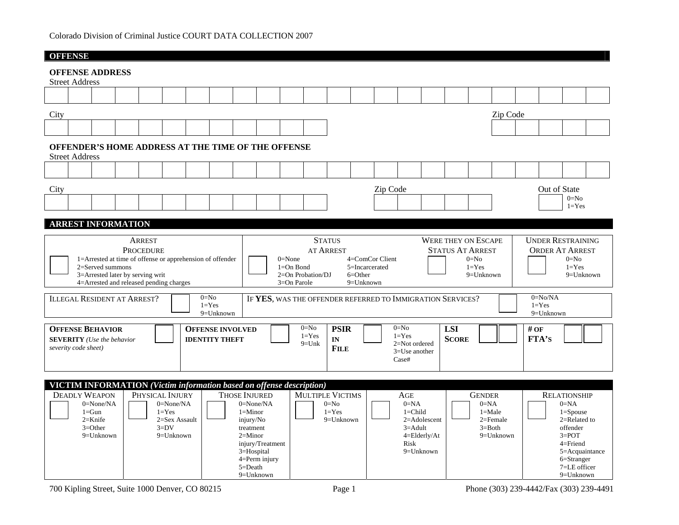| <b>OFFENSE</b>                                                                                                                                                                                                                                                                                                                                                                                                                             |                                                                                                                                                                                             |  |  |  |  |  |  |  |  |  |  |  |
|--------------------------------------------------------------------------------------------------------------------------------------------------------------------------------------------------------------------------------------------------------------------------------------------------------------------------------------------------------------------------------------------------------------------------------------------|---------------------------------------------------------------------------------------------------------------------------------------------------------------------------------------------|--|--|--|--|--|--|--|--|--|--|--|
| <b>OFFENSE ADDRESS</b><br><b>Street Address</b>                                                                                                                                                                                                                                                                                                                                                                                            |                                                                                                                                                                                             |  |  |  |  |  |  |  |  |  |  |  |
|                                                                                                                                                                                                                                                                                                                                                                                                                                            |                                                                                                                                                                                             |  |  |  |  |  |  |  |  |  |  |  |
| City<br>Zip Code                                                                                                                                                                                                                                                                                                                                                                                                                           |                                                                                                                                                                                             |  |  |  |  |  |  |  |  |  |  |  |
|                                                                                                                                                                                                                                                                                                                                                                                                                                            |                                                                                                                                                                                             |  |  |  |  |  |  |  |  |  |  |  |
| OFFENDER'S HOME ADDRESS AT THE TIME OF THE OFFENSE<br><b>Street Address</b>                                                                                                                                                                                                                                                                                                                                                                |                                                                                                                                                                                             |  |  |  |  |  |  |  |  |  |  |  |
|                                                                                                                                                                                                                                                                                                                                                                                                                                            |                                                                                                                                                                                             |  |  |  |  |  |  |  |  |  |  |  |
| Zip Code<br>City                                                                                                                                                                                                                                                                                                                                                                                                                           | Out of State<br>$0=N0$<br>$1 = Yes$                                                                                                                                                         |  |  |  |  |  |  |  |  |  |  |  |
| <b>ARREST INFORMATION</b>                                                                                                                                                                                                                                                                                                                                                                                                                  |                                                                                                                                                                                             |  |  |  |  |  |  |  |  |  |  |  |
| <b>STATUS</b><br><b>ARREST</b><br><b>PROCEDURE</b><br><b>AT ARREST</b><br>4=ComCor Client<br>1=Arrested at time of offense or apprehension of offender<br>$0 = None$<br>2=Served summons<br>$1 = On$ Bond<br>5=Incarcerated<br>3=Arrested later by serving writ<br>$2=On$ Probation/DJ<br>$6=Other$<br>4=Arrested and released pending charges<br>$3=On$ Parole<br>$9 =$ Unknown                                                           | <b>UNDER RESTRAINING</b><br><b>WERE THEY ON ESCAPE</b><br><b>ORDER AT ARREST</b><br><b>STATUS AT ARREST</b><br>$0=N0$<br>$0=No$<br>$1 = Yes$<br>$1 = Yes$<br>$9 =$ Unknown<br>$9 =$ Unknown |  |  |  |  |  |  |  |  |  |  |  |
| $0=No$<br><b>ILLEGAL RESIDENT AT ARREST?</b><br>IF YES, WAS THE OFFENDER REFERRED TO IMMIGRATION SERVICES?<br>$1 = Yes$<br>9=Unknown                                                                                                                                                                                                                                                                                                       | $0 = No/NA$<br>$1 = Yes$<br>9=Unknown                                                                                                                                                       |  |  |  |  |  |  |  |  |  |  |  |
| $0=N0$<br>$0 = No$<br><b>OFFENSE BEHAVIOR</b><br><b>PSIR</b><br><b>LSI</b><br><b>OFFENSE INVOLVED</b><br>$1 = Yes$<br>$1 = Yes$<br><b>SCORE</b><br>IN<br><b>SEVERITY</b> (Use the behavior<br><b>IDENTITY THEFT</b><br>$9=$ Unk<br>2=Not ordered<br>severity code sheet)<br><b>FILE</b><br>3=Use another<br>Case#                                                                                                                          | $#$ OF<br><b>FTA'S</b>                                                                                                                                                                      |  |  |  |  |  |  |  |  |  |  |  |
| <b>VICTIM INFORMATION</b> (Victim information based on offense description)                                                                                                                                                                                                                                                                                                                                                                |                                                                                                                                                                                             |  |  |  |  |  |  |  |  |  |  |  |
| <b>MULTIPLE VICTIMS</b><br><b>DEADLY WEAPON</b><br>PHYSICAL INJURY<br><b>THOSE INJURED</b><br>AGE<br>$0 = None/NA$<br>$0 = None/NA$<br>$0 = None/NA$<br>$0=N0$<br>$0 = NA$<br>$1 = Yes$<br>$1 =$ Child<br>$1 = Gun$<br>$1 = Yes$<br>$1 =$ Minor<br>$2=$ Knife<br>2=Sex Assault<br>9=Unknown<br>injury/No<br>2=Adolescent<br>$3=DV$<br>$3=Other$<br>$3 =$ Adult<br>treatment<br>$9=$ Unknown<br>$9=$ Unknown<br>$2=Minor$<br>$4=Elderlv/At$ | <b>GENDER</b><br><b>RELATIONSHIP</b><br>$0 = NA$<br>$0 = NA$<br>$1 = Male$<br>$1 = Spouse$<br>$2 =$ Female<br>$2=$ Related to<br>$3=Both$<br>offender<br>$3 = POT$<br>$9=$ Unknown          |  |  |  |  |  |  |  |  |  |  |  |

700 Kipling Street, Suite 1000 Denver, CO 80215 Page 1 Phone (303) 239-4442/Fax (303) 239-4491

Risk 9=Unknown

 injury/Treatment 3=Hospital 4=Perm injury 5=Death 9=Unknown

4=Friend 5=Acquaintance 6=Stranger 7=LE officer 9=Unknown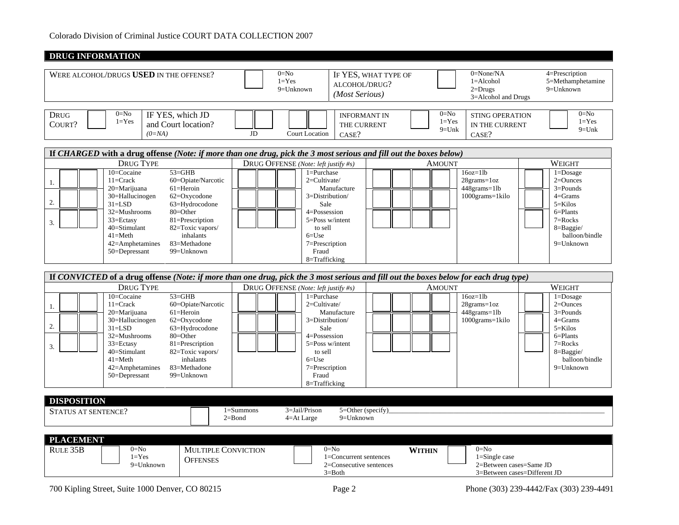| $0=N0$<br>0=None/NA<br>4=Prescription<br>WERE ALCOHOL/DRUGS USED IN THE OFFENSE?<br>IF YES, WHAT TYPE OF<br>$1 = Yes$<br>$1 =$ Alcohol<br>ALCOHOL/DRUG?<br>9=Unknown<br>$2 = Drugs$<br>9=Unknown<br>(Most Serious)<br>3=Alcohol and Drugs<br>$0=N0$<br>$0=N0$<br>$0 = No$<br><b>DRUG</b><br>IF YES, which JD<br><b>INFORMANT IN</b><br><b>STING OPERATION</b><br>$1 = Yes$<br>$1 = Yes$<br>COURT?<br>and Court location?<br>THE CURRENT<br>IN THE CURRENT<br>$9=Unk$<br>$(0=NA)$<br>$_{\rm JD}$<br><b>Court Location</b><br>CASE?<br>CASE?<br>If CHARGED with a drug offense (Note: if more than one drug, pick the 3 most serious and fill out the boxes below)<br><b>DRUG TYPE</b><br>DRUG OFFENSE (Note: left justify #s)<br>WEIGHT<br>AMOUNT<br>10=Cocaine<br>$53 = GHB$<br>$16oz=11b$<br>$1 =$ Purchase<br>$1 =$ Dosage<br>$11 =$ Crack<br>60=Opiate/Narcotic<br>2=Cultivate/<br>$28$ grams= $1oz$<br>$2 =$ Ounces<br>1.<br>$61$ =Heroin<br>448grams=1lb<br>$3 =$ Pounds<br>20=Marijuana<br>Manufacture<br>1000grams=1kilo<br>30=Hallucinogen<br>3=Distribution/<br>$4 =$ Grams<br>62=Oxycodone<br>2.<br>$31 = LSD$<br>63=Hydrocodone<br>5=Kilos<br>Sale<br>32=Mushrooms<br>80=Other<br>4=Possession<br>6=Plants<br>5=Poss w/intent<br>33=Ectasy<br>81=Prescription<br>$7 = Rocks$<br>3.<br>40=Stimulant<br>82=Toxic vapors/<br>to sell<br>8=Baggie/<br>$41 = Meth$<br>inhalants<br>$6 = Use$<br>83=Methadone<br>7=Prescription<br>$42$ =Amphetamines<br>9=Unknown<br>50=Depressant<br>99=Unknown<br>Fraud<br>8=Trafficking<br>If CONVICTED of a drug offense (Note: if more than one drug, pick the 3 most serious and fill out the boxes below for each drug type)<br><b>DRUG TYPE</b><br>DRUG OFFENSE (Note: left justify #s)<br>WEIGHT<br><b>AMOUNT</b><br>$53 = GHB$<br>$16oz=11b$<br>10=Cocaine<br>1=Purchase<br>$1 = Do\$<br>$11 =$ Crack<br>60=Opiate/Narcotic<br>$2=$ Cultivate/<br>$2=$ Ounces<br>$28$ grams= $1oz$<br>1.<br>$61 =$ Heroin<br>448grams=1lb<br>$3 =$ Pounds<br>20=Marijuana<br>Manufacture<br>30=Hallucinogen<br>62=Oxycodone<br>1000grams=1kilo<br>3=Distribution/<br>$4 =$ Grams<br>2.<br>$31 = LSD$<br>63=Hydrocodone<br>Sale<br>5=Kilos<br>$80 = Other$<br>32=Mushrooms<br>4=Possession<br>$6 =$ Plants<br>5=Poss w/intent<br>33=Ectasy<br>81=Prescription<br>$7 = Rocks$<br>3.<br>40=Stimulant<br>82=Toxic vapors/<br>to sell<br>$8 =$ Baggie/<br>$41 = Meth$<br>inhalants<br>$6 = Use$<br>42=Amphetamines<br>83=Methadone<br>7=Prescription<br>$9 =$ Unknown<br>Fraud<br>$50 = Depressant$<br>99=Unknown<br>8=Trafficking<br><b>DISPOSITION</b><br>3=Jail/Prison<br>$1 =$ Summons<br>5=Other (specify)<br><b>STATUS AT SENTENCE?</b><br>$2 =$ Bond<br>$9 =$ Unknown<br>$4 = At Large$<br><b>PLACEMENT</b><br>$0=N0$<br>$0=N0$<br>$0=N0$<br>RULE 35B<br>MULTIPLE CONVICTION<br><b>WITHIN</b><br>$1 = Yes$<br>1=Concurrent sentences<br>$1 =$ Single case<br><b>OFFENSES</b><br>2=Consecutive sentences | <b>DRUG INFORMATION</b> |  |                         |
|-------------------------------------------------------------------------------------------------------------------------------------------------------------------------------------------------------------------------------------------------------------------------------------------------------------------------------------------------------------------------------------------------------------------------------------------------------------------------------------------------------------------------------------------------------------------------------------------------------------------------------------------------------------------------------------------------------------------------------------------------------------------------------------------------------------------------------------------------------------------------------------------------------------------------------------------------------------------------------------------------------------------------------------------------------------------------------------------------------------------------------------------------------------------------------------------------------------------------------------------------------------------------------------------------------------------------------------------------------------------------------------------------------------------------------------------------------------------------------------------------------------------------------------------------------------------------------------------------------------------------------------------------------------------------------------------------------------------------------------------------------------------------------------------------------------------------------------------------------------------------------------------------------------------------------------------------------------------------------------------------------------------------------------------------------------------------------------------------------------------------------------------------------------------------------------------------------------------------------------------------------------------------------------------------------------------------------------------------------------------------------------------------------------------------------------------------------------------------------------------------------------------------------------------------------------------------------------------------------------------------------------------------------------------------------------------------------------------------------------------------------------------------------------------------------------------------------------------------------------------------------------------------------------------------------------------|-------------------------|--|-------------------------|
|                                                                                                                                                                                                                                                                                                                                                                                                                                                                                                                                                                                                                                                                                                                                                                                                                                                                                                                                                                                                                                                                                                                                                                                                                                                                                                                                                                                                                                                                                                                                                                                                                                                                                                                                                                                                                                                                                                                                                                                                                                                                                                                                                                                                                                                                                                                                                                                                                                                                                                                                                                                                                                                                                                                                                                                                                                                                                                                                           |                         |  | 5=Methamphetamine       |
|                                                                                                                                                                                                                                                                                                                                                                                                                                                                                                                                                                                                                                                                                                                                                                                                                                                                                                                                                                                                                                                                                                                                                                                                                                                                                                                                                                                                                                                                                                                                                                                                                                                                                                                                                                                                                                                                                                                                                                                                                                                                                                                                                                                                                                                                                                                                                                                                                                                                                                                                                                                                                                                                                                                                                                                                                                                                                                                                           |                         |  | $1 = Yes$<br>$9=Unk$    |
|                                                                                                                                                                                                                                                                                                                                                                                                                                                                                                                                                                                                                                                                                                                                                                                                                                                                                                                                                                                                                                                                                                                                                                                                                                                                                                                                                                                                                                                                                                                                                                                                                                                                                                                                                                                                                                                                                                                                                                                                                                                                                                                                                                                                                                                                                                                                                                                                                                                                                                                                                                                                                                                                                                                                                                                                                                                                                                                                           |                         |  |                         |
|                                                                                                                                                                                                                                                                                                                                                                                                                                                                                                                                                                                                                                                                                                                                                                                                                                                                                                                                                                                                                                                                                                                                                                                                                                                                                                                                                                                                                                                                                                                                                                                                                                                                                                                                                                                                                                                                                                                                                                                                                                                                                                                                                                                                                                                                                                                                                                                                                                                                                                                                                                                                                                                                                                                                                                                                                                                                                                                                           |                         |  | balloon/bindle          |
|                                                                                                                                                                                                                                                                                                                                                                                                                                                                                                                                                                                                                                                                                                                                                                                                                                                                                                                                                                                                                                                                                                                                                                                                                                                                                                                                                                                                                                                                                                                                                                                                                                                                                                                                                                                                                                                                                                                                                                                                                                                                                                                                                                                                                                                                                                                                                                                                                                                                                                                                                                                                                                                                                                                                                                                                                                                                                                                                           |                         |  |                         |
|                                                                                                                                                                                                                                                                                                                                                                                                                                                                                                                                                                                                                                                                                                                                                                                                                                                                                                                                                                                                                                                                                                                                                                                                                                                                                                                                                                                                                                                                                                                                                                                                                                                                                                                                                                                                                                                                                                                                                                                                                                                                                                                                                                                                                                                                                                                                                                                                                                                                                                                                                                                                                                                                                                                                                                                                                                                                                                                                           |                         |  | balloon/bindle          |
| $3 = Both$<br>3=Between cases=Different JD                                                                                                                                                                                                                                                                                                                                                                                                                                                                                                                                                                                                                                                                                                                                                                                                                                                                                                                                                                                                                                                                                                                                                                                                                                                                                                                                                                                                                                                                                                                                                                                                                                                                                                                                                                                                                                                                                                                                                                                                                                                                                                                                                                                                                                                                                                                                                                                                                                                                                                                                                                                                                                                                                                                                                                                                                                                                                                | 9=Unknown               |  | 2=Between cases=Same JD |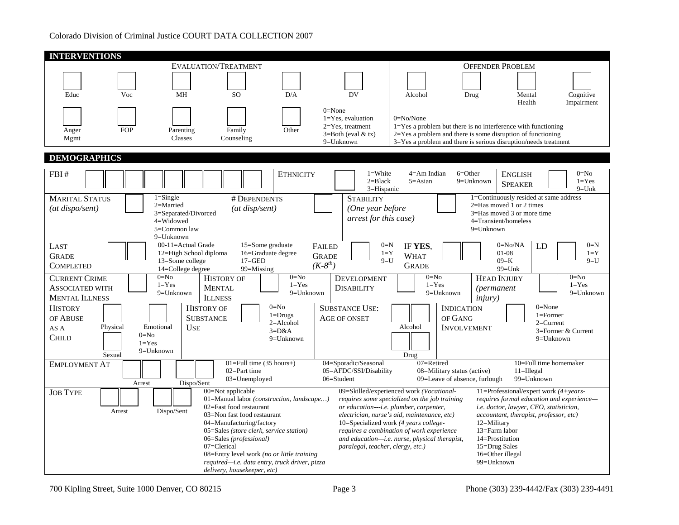| <b>INTERVENTIONS</b>                                                     |                                                                                                                                                                                                |                                                                                                                                                                                     |                                                                                                |                                                                                                                                                                                                                                                                                                                            |                                                                                                                                                                                                                                                                               |                           |
|--------------------------------------------------------------------------|------------------------------------------------------------------------------------------------------------------------------------------------------------------------------------------------|-------------------------------------------------------------------------------------------------------------------------------------------------------------------------------------|------------------------------------------------------------------------------------------------|----------------------------------------------------------------------------------------------------------------------------------------------------------------------------------------------------------------------------------------------------------------------------------------------------------------------------|-------------------------------------------------------------------------------------------------------------------------------------------------------------------------------------------------------------------------------------------------------------------------------|---------------------------|
|                                                                          | EVALUATION/TREATMENT                                                                                                                                                                           |                                                                                                                                                                                     |                                                                                                |                                                                                                                                                                                                                                                                                                                            | <b>OFFENDER PROBLEM</b>                                                                                                                                                                                                                                                       |                           |
| Educ<br>Voc                                                              | <b>MH</b><br><b>SO</b>                                                                                                                                                                         | D/A                                                                                                                                                                                 | DV                                                                                             | Alcohol<br>Drug                                                                                                                                                                                                                                                                                                            | Cognitive<br>Mental<br>Health<br>Impairment                                                                                                                                                                                                                                   |                           |
| <b>FOP</b><br>Anger<br>Mgmt                                              | Parenting<br>Family<br>Counseling<br>Classes                                                                                                                                                   | Other                                                                                                                                                                               | $0 = None$<br>$1 = Yes$ , evaluation<br>2=Yes, treatment<br>$3 = Both (eval &tx)$<br>9=Unknown | $0 = No/None$                                                                                                                                                                                                                                                                                                              | $1 = Yes$ a problem but there is no interference with functioning<br>$2 = Yes$ a problem and there is some disruption of functioning<br>3=Yes a problem and there is serious disruption/needs treatment                                                                       |                           |
| <b>DEMOGRAPHICS</b>                                                      |                                                                                                                                                                                                |                                                                                                                                                                                     |                                                                                                |                                                                                                                                                                                                                                                                                                                            |                                                                                                                                                                                                                                                                               |                           |
| FBI#                                                                     |                                                                                                                                                                                                | <b>ETHNICITY</b>                                                                                                                                                                    | $1 = White$<br>$2 = Black$<br>3=Hispanic                                                       | $4 = Am$ Indian<br>$6 = Other$<br>$5 = Asian$                                                                                                                                                                                                                                                                              | $0=N0$<br><b>ENGLISH</b><br>9=Unknown<br>$1 = Yes$<br><b>SPEAKER</b>                                                                                                                                                                                                          | $9=Unk$                   |
| <b>MARITAL STATUS</b><br>(at dispo/sent)                                 | $1 =$ Single<br>$2=Married$<br>3=Separated/Divorced<br>4=Widowed<br>5=Common law<br>9=Unknown                                                                                                  | # DEPENDENTS<br>(at disp/sent)                                                                                                                                                      | <b>STABILITY</b><br>(One year before<br>arrest for this case)                                  |                                                                                                                                                                                                                                                                                                                            | 1=Continuously resided at same address<br>2=Has moved 1 or 2 times<br>3=Has moved 3 or more time<br>4=Transient/homeless<br>9=Unknown                                                                                                                                         |                           |
| LAST<br><b>GRADE</b><br><b>COMPLETED</b>                                 | 00-11=Actual Grade<br>12=High School diploma<br>13=Some college<br>14=College degree                                                                                                           | 15=Some graduate<br><b>FAILED</b><br>16=Graduate degree<br><b>GRADE</b><br>$17 = GED$<br>$(K-8th)$<br>99=Missing                                                                    | $0=N$<br>$1 = Y$<br>$9=11$                                                                     | IF YES,<br><b>WHAT</b><br><b>GRADE</b>                                                                                                                                                                                                                                                                                     | $0=No/NA$<br>LD<br>$01-08$<br>$09=K$<br>$99 =$ Unk                                                                                                                                                                                                                            | $0=N$<br>$1 = Y$<br>$9=U$ |
| <b>CURRENT CRIME</b><br><b>ASSOCIATED WITH</b><br><b>MENTAL ILLNESS</b>  | $0 = No$<br><b>HISTORY OF</b><br>$1 = Yes$<br><b>MENTAL</b><br>9=Unknown<br><b>ILLNESS</b>                                                                                                     | $0=N0$<br>$1 = Yes$<br>9=Unknown                                                                                                                                                    | <b>DEVELOPMENT</b><br><b>DISABILITY</b>                                                        | $0 = No$<br>$1 = Yes$<br>9=Unknown                                                                                                                                                                                                                                                                                         | $0=N0$<br><b>HEAD INJURY</b><br>$1 = Yes$<br><i>(permanent</i> )<br><i>injury</i> )                                                                                                                                                                                           | 9=Unknown                 |
| <b>HISTORY</b><br>OF ABUSE<br>Physical<br>AS A<br><b>CHILD</b><br>Sexual | <b>HISTORY OF</b><br><b>SUBSTANCE</b><br>Emotional<br><b>USE</b><br>$0 = No$<br>$1 = Yes$<br>9=Unknown                                                                                         | $0=N0$<br>$1 = Drugs$<br>$2=Alcohol$<br>$3=D&A$<br>$9 =$ Unknown                                                                                                                    | <b>SUBSTANCE USE:</b><br><b>AGE OF ONSET</b>                                                   | <b>INDICATION</b><br>OF GANG<br>Alcohol<br><b>INVOLVEMENT</b><br>Drug                                                                                                                                                                                                                                                      | $0 = None$<br>$1 =$ Former<br>$2=Current$<br>3=Former & Current<br>$9 =$ Unknown                                                                                                                                                                                              |                           |
| <b>EMPLOYMENT AT</b>                                                     | $02 = Part$ time<br>03=Unemployed<br>Dispo/Sent<br>Arrest                                                                                                                                      | $01 = Full time (35 hours+)$                                                                                                                                                        | 04=Sporadic/Seasonal<br>05=AFDC/SSI/Disability<br>06=Student                                   | 07=Retired<br>08=Military status (active)<br>09=Leave of absence, furlough                                                                                                                                                                                                                                                 | 10=Full time homemaker<br>$11 =$ Illegal<br>99=Unknown                                                                                                                                                                                                                        |                           |
| <b>JOB TYPE</b><br>Arrest                                                | 00=Not applicable<br>02=Fast food restaurant<br>Dispo/Sent<br>03=Non fast food restaurant<br>04=Manufacturing/factory<br>06=Sales (professional)<br>07=Clerical<br>delivery, housekeeper, etc) | 01=Manual labor (construction, landscape)<br>05=Sales (store clerk, service station)<br>08=Entry level work (no or little training<br>required-i.e. data entry, truck driver, pizza | paralegal, teacher, clergy, etc.)                                                              | 09=Skilled/experienced work (Vocational-<br>requires some specialized on the job training<br>or education---i.e. plumber, carpenter,<br>electrician, nurse's aid, maintenance, etc)<br>10=Specialized work (4 years college-<br>requires a combination of work experience<br>and education-i.e. nurse, physical therapist, | 11=Professional/expert work (4+years-<br>requires formal education and experience-<br>i.e. doctor, lawyer, CEO, statistician,<br>accountant, therapist, professor, etc)<br>12=Military<br>13=Farm labor<br>14=Prostitution<br>15=Drug Sales<br>16=Other illegal<br>99=Unknown |                           |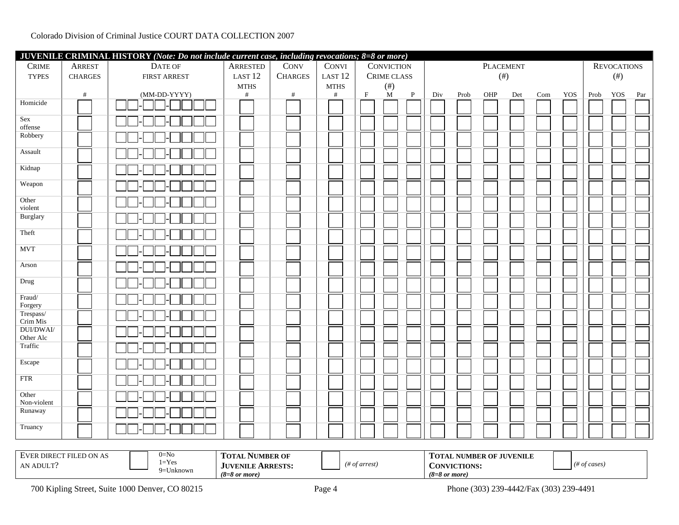|                                           | JUVENILE CRIMINAL HISTORY (Note: Do not include current case, including revocations; 8=8 or more) |                     |                     |                |                     |             |                       |              |        |      |           |        |     |     |      |                    |     |
|-------------------------------------------|---------------------------------------------------------------------------------------------------|---------------------|---------------------|----------------|---------------------|-------------|-----------------------|--------------|--------|------|-----------|--------|-----|-----|------|--------------------|-----|
| <b>CRIME</b>                              | <b>ARREST</b>                                                                                     | DATE OF             | ARRESTED            | CONV           | CONVI               |             | <b>CONVICTION</b>     |              |        |      | PLACEMENT |        |     |     |      | <b>REVOCATIONS</b> |     |
| <b>TYPES</b>                              | <b>CHARGES</b>                                                                                    | <b>FIRST ARREST</b> | LAST <sub>12</sub>  | <b>CHARGES</b> | LAST <sub>12</sub>  |             | CRIME CLASS           |              | $(\#)$ |      |           | $(\#)$ |     |     |      |                    |     |
|                                           | $\#$                                                                                              | (MM-DD-YYYY)        | <b>MTHS</b><br>$\#$ | #              | <b>MTHS</b><br>$\#$ | $\mathbf F$ | $(\#)$<br>$\mathbf M$ | $\mathbf{P}$ | Div    | Prob | OHP       | Det    | Com | YOS | Prob | YOS                | Par |
| Homicide                                  |                                                                                                   |                     |                     |                |                     |             |                       |              |        |      |           |        |     |     |      |                    |     |
| Sex                                       |                                                                                                   |                     |                     |                |                     |             |                       |              |        |      |           |        |     |     |      |                    |     |
| offense<br>Robbery                        |                                                                                                   |                     |                     |                |                     |             |                       |              |        |      |           |        |     |     |      |                    |     |
|                                           |                                                                                                   |                     |                     |                |                     |             |                       |              |        |      |           |        |     |     |      |                    |     |
| Assault                                   |                                                                                                   |                     |                     |                |                     |             |                       |              |        |      |           |        |     |     |      |                    |     |
| Kidnap                                    |                                                                                                   |                     |                     |                |                     |             |                       |              |        |      |           |        |     |     |      |                    |     |
| Weapon                                    |                                                                                                   |                     |                     |                |                     |             |                       |              |        |      |           |        |     |     |      |                    |     |
| Other<br>violent                          |                                                                                                   |                     |                     |                |                     |             |                       |              |        |      |           |        |     |     |      |                    |     |
| Burglary                                  |                                                                                                   |                     |                     |                |                     |             |                       |              |        |      |           |        |     |     |      |                    |     |
| Theft                                     |                                                                                                   |                     |                     |                |                     |             |                       |              |        |      |           |        |     |     |      |                    |     |
| <b>MVT</b>                                |                                                                                                   |                     |                     |                |                     |             |                       |              |        |      |           |        |     |     |      |                    |     |
| Arson                                     |                                                                                                   |                     |                     |                |                     |             |                       |              |        |      |           |        |     |     |      |                    |     |
| Drug                                      |                                                                                                   |                     |                     |                |                     |             |                       |              |        |      |           |        |     |     |      |                    |     |
| $\ensuremath{\text{Fraud}}$<br>Forgery    |                                                                                                   |                     |                     |                |                     |             |                       |              |        |      |           |        |     |     |      |                    |     |
| $\overline{\mbox{Trespass}}/$<br>Crim Mis |                                                                                                   |                     |                     |                |                     |             |                       |              |        |      |           |        |     |     |      |                    |     |
| <b>DUI/DWAI/</b><br>Other Alc             |                                                                                                   |                     |                     |                |                     |             |                       |              |        |      |           |        |     |     |      |                    |     |
| Traffic                                   |                                                                                                   |                     |                     |                |                     |             |                       |              |        |      |           |        |     |     |      |                    |     |
| Escape                                    |                                                                                                   |                     |                     |                |                     |             |                       |              |        |      |           |        |     |     |      |                    |     |
| $\overline{\text{FTR}}$                   |                                                                                                   |                     |                     |                |                     |             |                       |              |        |      |           |        |     |     |      |                    |     |
| Other<br>Non-violent                      |                                                                                                   |                     |                     |                |                     |             |                       |              |        |      |           |        |     |     |      |                    |     |
| Runaway                                   |                                                                                                   |                     |                     |                |                     |             |                       |              |        |      |           |        |     |     |      |                    |     |
| Truancy                                   |                                                                                                   |                     |                     |                |                     |             |                       |              |        |      |           |        |     |     |      |                    |     |
|                                           |                                                                                                   |                     |                     |                |                     |             |                       |              |        |      |           |        |     |     |      |                    |     |

| CT FILED ON AS<br><b>EVER DIREC</b> | $0 = No$ | <b>TOTAL NUMBER OF</b>             |           | <b>TOTAL NUMBER OF JUVENILE</b> |              |
|-------------------------------------|----------|------------------------------------|-----------|---------------------------------|--------------|
| AN ADULT"                           | $=$ Yes  | <b>ARRESTS:</b><br><b>JUVENILE</b> | of arrest | <b>CONVICTIONS:</b>             | $#$ of cases |
|                                     | ∶∪nknown | $(8=8 \text{ or more})$            |           | $(8=8 \text{ or more})$         |              |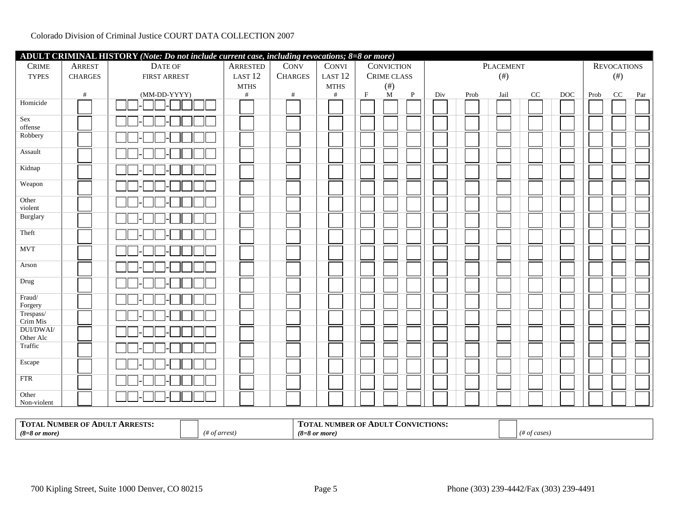| ADULT CRIMINAL HISTORY (Note: Do not include current case, including revocations; 8=8 or more) |                |                     |                    |                |  |                    |  |             |                   |              |        |      |                  |      |              |      |                    |     |
|------------------------------------------------------------------------------------------------|----------------|---------------------|--------------------|----------------|--|--------------------|--|-------------|-------------------|--------------|--------|------|------------------|------|--------------|------|--------------------|-----|
| <b>CRIME</b>                                                                                   | ARREST         | DATE OF             | <b>ARRESTED</b>    | <b>CONV</b>    |  | CONVI              |  |             | <b>CONVICTION</b> |              |        |      | <b>PLACEMENT</b> |      |              |      | <b>REVOCATIONS</b> |     |
| <b>TYPES</b>                                                                                   | <b>CHARGES</b> | <b>FIRST ARREST</b> | LAST <sub>12</sub> | <b>CHARGES</b> |  | LAST <sub>12</sub> |  |             | CRIME CLASS       |              | $(\#)$ |      |                  | (# ) |              |      |                    |     |
|                                                                                                |                |                     | <b>MTHS</b>        |                |  | <b>MTHS</b>        |  |             | $($ # $)$         |              |        |      |                  |      |              |      |                    |     |
|                                                                                                | #              | (MM-DD-YYYY)        | #                  | #              |  | #                  |  | $\mathbf F$ | M                 | $\mathbf{P}$ | Div    | Prob | Jail             | CC   | $_{\rm DOC}$ | Prob | CC                 | Par |
| Homicide                                                                                       |                |                     |                    |                |  |                    |  |             |                   |              |        |      |                  |      |              |      |                    |     |
| Sex<br>offense                                                                                 |                |                     |                    |                |  |                    |  |             |                   |              |        |      |                  |      |              |      |                    |     |
| Robbery                                                                                        |                |                     |                    |                |  |                    |  |             |                   |              |        |      |                  |      |              |      |                    |     |
| Assault                                                                                        |                |                     |                    |                |  |                    |  |             |                   |              |        |      |                  |      |              |      |                    |     |
| Kidnap                                                                                         |                |                     |                    |                |  |                    |  |             |                   |              |        |      |                  |      |              |      |                    |     |
| Weapon                                                                                         |                |                     |                    |                |  |                    |  |             |                   |              |        |      |                  |      |              |      |                    |     |
| Other<br>violent                                                                               |                |                     |                    |                |  |                    |  |             |                   |              |        |      |                  |      |              |      |                    |     |
| Burglary                                                                                       |                |                     |                    |                |  |                    |  |             |                   |              |        |      |                  |      |              |      |                    |     |
| Theft                                                                                          |                |                     |                    |                |  |                    |  |             |                   |              |        |      |                  |      |              |      |                    |     |
| <b>MVT</b>                                                                                     |                |                     |                    |                |  |                    |  |             |                   |              |        |      |                  |      |              |      |                    |     |
| Arson                                                                                          |                |                     |                    |                |  |                    |  |             |                   |              |        |      |                  |      |              |      |                    |     |
| Drug                                                                                           |                |                     |                    |                |  |                    |  |             |                   |              |        |      |                  |      |              |      |                    |     |
| Fraud/<br>Forgery                                                                              |                |                     |                    |                |  |                    |  |             |                   |              |        |      |                  |      |              |      |                    |     |
| Trespass/<br>Crim Mis                                                                          |                |                     |                    |                |  |                    |  |             |                   |              |        |      |                  |      |              |      |                    |     |
| <b>DUI/DWAI/</b><br>Other Alc                                                                  |                |                     |                    |                |  |                    |  |             |                   |              |        |      |                  |      |              |      |                    |     |
| Traffic                                                                                        |                |                     |                    |                |  |                    |  |             |                   |              |        |      |                  |      |              |      |                    |     |
| Escape                                                                                         |                |                     |                    |                |  |                    |  |             |                   |              |        |      |                  |      |              |      |                    |     |
| $\overline{\text{FTR}}$                                                                        |                |                     |                    |                |  |                    |  |             |                   |              |        |      |                  |      |              |      |                    |     |
| Other<br>Non-violent                                                                           |                |                     |                    |                |  |                    |  |             |                   |              |        |      |                  |      |              |      |                    |     |

| <b>TOTAL</b><br><b>ARRESTS:</b><br>: OF ADULT<br>MBER<br>1 V L J |                     | <b>CONVICTIONS:</b><br>ADULT<br><b>IMBER OF</b><br>LUTAL.<br>чu. |              |
|------------------------------------------------------------------|---------------------|------------------------------------------------------------------|--------------|
| $(8=8 \text{ or more})$                                          | arrest)<br>$\cdots$ | (8=8 or more)                                                    | cases<br>,,, |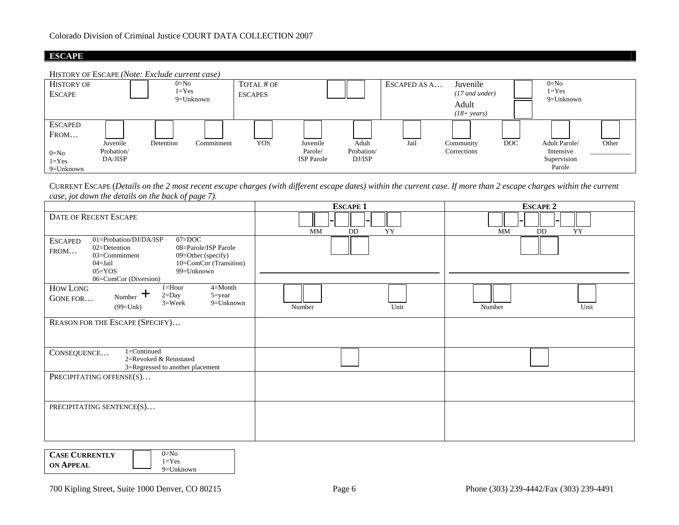# **ESCAPE**





CURRENT ESCAPE (*Details on the 2 most recent escape charges (with different escape dates) within the current case. If more than 2 escape charges within the current case, jot down the details on the back of page 7).* 

|                                                                                                                                                                                                                                             | <b>ESCAPE 1</b>       | <b>ESCAPE 2</b> |  |  |  |  |
|---------------------------------------------------------------------------------------------------------------------------------------------------------------------------------------------------------------------------------------------|-----------------------|-----------------|--|--|--|--|
| <b>DATE OF RECENT ESCAPE</b>                                                                                                                                                                                                                | <b>MM</b><br>YY<br>DD | YY<br>MM<br>DD  |  |  |  |  |
| 01=Probation/DJ/DA/ISP<br>$07 = DOC$<br><b>ESCAPED</b><br>02=Detention<br>08=Parole/ISP Parole<br>FROM<br>09=Other (specify)<br>03=Commitment<br>$04 =$ Jail<br>10=ComCor (Transition)<br>99=Unknown<br>$05 = YOS$<br>06=ComCor (Diversion) |                       |                 |  |  |  |  |
| $1 =$ Hour<br>$4 = M$ onth<br>HOW LONG<br>$2 = Day$<br>$5 = year$<br>Number $\top$<br>GONE FOR<br>$3 =$ Week<br>9=Unknown<br>$(99=Uhk)$                                                                                                     | Unit<br>Number        | Unit<br>Number  |  |  |  |  |
| REASON FOR THE ESCAPE (SPECIFY)                                                                                                                                                                                                             |                       |                 |  |  |  |  |
| 1=Continued<br>CONSEQUENCE<br>2=Revoked & Reinstated<br>3=Regressed to another placement                                                                                                                                                    |                       |                 |  |  |  |  |
| PRECIPITATING OFFENSE(S)                                                                                                                                                                                                                    |                       |                 |  |  |  |  |
| PRECIPITATING SENTENCE(S)                                                                                                                                                                                                                   |                       |                 |  |  |  |  |

| <b>CASE CURRENTLY</b> | $0=$ No                   |
|-----------------------|---------------------------|
| <b>ON APPEAL</b>      | $1 = Yes$<br>$9=$ Unknown |